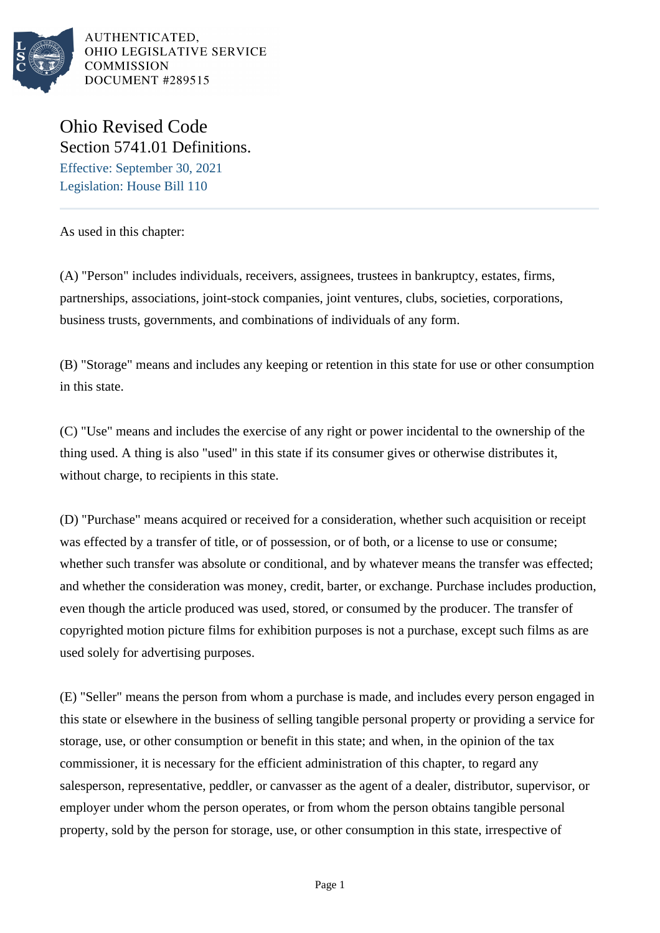

# Ohio Revised Code Section 5741.01 Definitions.

Effective: September 30, 2021 Legislation: House Bill 110

As used in this chapter:

(A) "Person" includes individuals, receivers, assignees, trustees in bankruptcy, estates, firms, partnerships, associations, joint-stock companies, joint ventures, clubs, societies, corporations, business trusts, governments, and combinations of individuals of any form.

(B) "Storage" means and includes any keeping or retention in this state for use or other consumption in this state.

(C) "Use" means and includes the exercise of any right or power incidental to the ownership of the thing used. A thing is also "used" in this state if its consumer gives or otherwise distributes it, without charge, to recipients in this state.

(D) "Purchase" means acquired or received for a consideration, whether such acquisition or receipt was effected by a transfer of title, or of possession, or of both, or a license to use or consume; whether such transfer was absolute or conditional, and by whatever means the transfer was effected; and whether the consideration was money, credit, barter, or exchange. Purchase includes production, even though the article produced was used, stored, or consumed by the producer. The transfer of copyrighted motion picture films for exhibition purposes is not a purchase, except such films as are used solely for advertising purposes.

(E) "Seller" means the person from whom a purchase is made, and includes every person engaged in this state or elsewhere in the business of selling tangible personal property or providing a service for storage, use, or other consumption or benefit in this state; and when, in the opinion of the tax commissioner, it is necessary for the efficient administration of this chapter, to regard any salesperson, representative, peddler, or canvasser as the agent of a dealer, distributor, supervisor, or employer under whom the person operates, or from whom the person obtains tangible personal property, sold by the person for storage, use, or other consumption in this state, irrespective of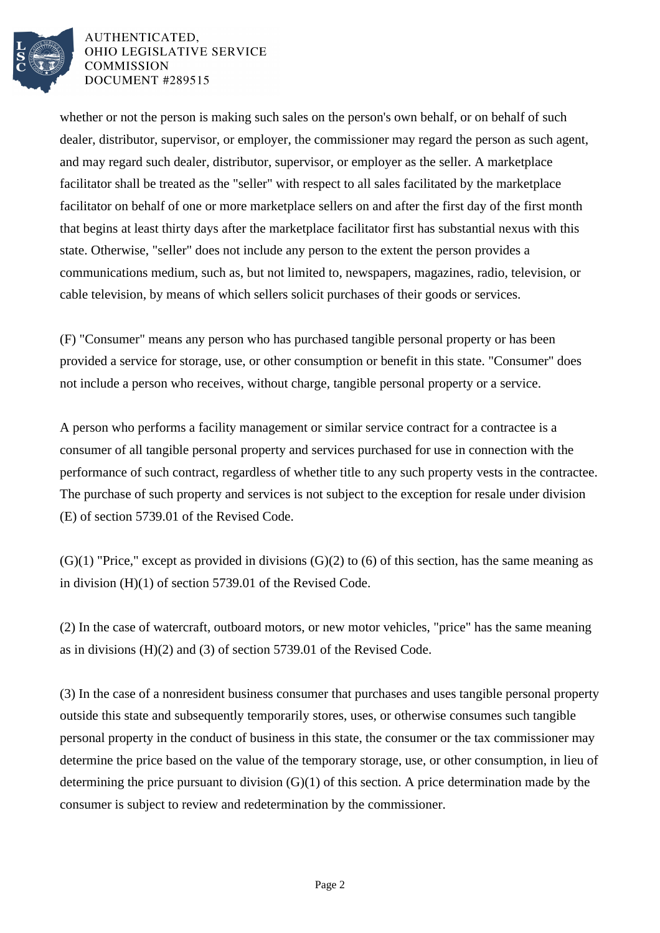

whether or not the person is making such sales on the person's own behalf, or on behalf of such dealer, distributor, supervisor, or employer, the commissioner may regard the person as such agent, and may regard such dealer, distributor, supervisor, or employer as the seller. A marketplace facilitator shall be treated as the "seller" with respect to all sales facilitated by the marketplace facilitator on behalf of one or more marketplace sellers on and after the first day of the first month that begins at least thirty days after the marketplace facilitator first has substantial nexus with this state. Otherwise, "seller" does not include any person to the extent the person provides a communications medium, such as, but not limited to, newspapers, magazines, radio, television, or cable television, by means of which sellers solicit purchases of their goods or services.

(F) "Consumer" means any person who has purchased tangible personal property or has been provided a service for storage, use, or other consumption or benefit in this state. "Consumer" does not include a person who receives, without charge, tangible personal property or a service.

A person who performs a facility management or similar service contract for a contractee is a consumer of all tangible personal property and services purchased for use in connection with the performance of such contract, regardless of whether title to any such property vests in the contractee. The purchase of such property and services is not subject to the exception for resale under division (E) of section 5739.01 of the Revised Code.

 $(G)(1)$  "Price," except as provided in divisions  $(G)(2)$  to  $(6)$  of this section, has the same meaning as in division (H)(1) of section 5739.01 of the Revised Code.

(2) In the case of watercraft, outboard motors, or new motor vehicles, "price" has the same meaning as in divisions (H)(2) and (3) of section 5739.01 of the Revised Code.

(3) In the case of a nonresident business consumer that purchases and uses tangible personal property outside this state and subsequently temporarily stores, uses, or otherwise consumes such tangible personal property in the conduct of business in this state, the consumer or the tax commissioner may determine the price based on the value of the temporary storage, use, or other consumption, in lieu of determining the price pursuant to division  $(G)(1)$  of this section. A price determination made by the consumer is subject to review and redetermination by the commissioner.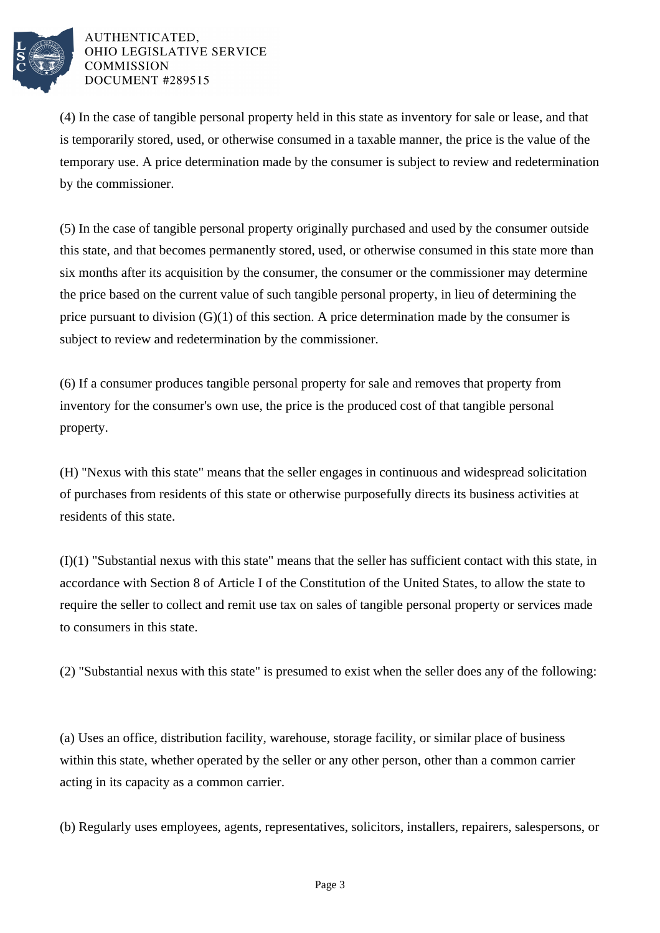

(4) In the case of tangible personal property held in this state as inventory for sale or lease, and that is temporarily stored, used, or otherwise consumed in a taxable manner, the price is the value of the temporary use. A price determination made by the consumer is subject to review and redetermination by the commissioner.

(5) In the case of tangible personal property originally purchased and used by the consumer outside this state, and that becomes permanently stored, used, or otherwise consumed in this state more than six months after its acquisition by the consumer, the consumer or the commissioner may determine the price based on the current value of such tangible personal property, in lieu of determining the price pursuant to division (G)(1) of this section. A price determination made by the consumer is subject to review and redetermination by the commissioner.

(6) If a consumer produces tangible personal property for sale and removes that property from inventory for the consumer's own use, the price is the produced cost of that tangible personal property.

(H) "Nexus with this state" means that the seller engages in continuous and widespread solicitation of purchases from residents of this state or otherwise purposefully directs its business activities at residents of this state.

(I)(1) "Substantial nexus with this state" means that the seller has sufficient contact with this state, in accordance with Section 8 of Article I of the Constitution of the United States, to allow the state to require the seller to collect and remit use tax on sales of tangible personal property or services made to consumers in this state.

(2) "Substantial nexus with this state" is presumed to exist when the seller does any of the following:

(a) Uses an office, distribution facility, warehouse, storage facility, or similar place of business within this state, whether operated by the seller or any other person, other than a common carrier acting in its capacity as a common carrier.

(b) Regularly uses employees, agents, representatives, solicitors, installers, repairers, salespersons, or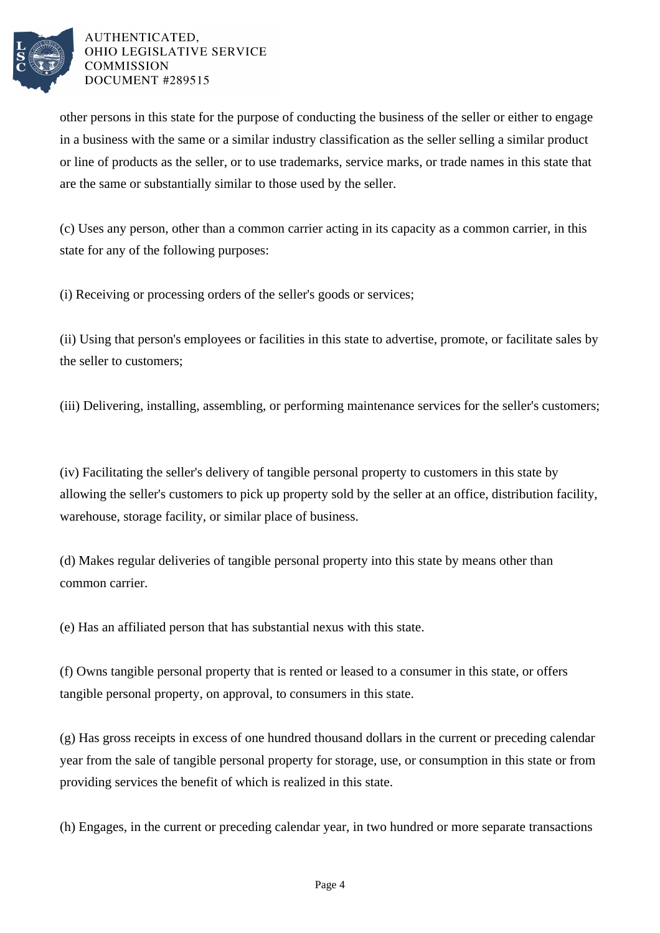

other persons in this state for the purpose of conducting the business of the seller or either to engage in a business with the same or a similar industry classification as the seller selling a similar product or line of products as the seller, or to use trademarks, service marks, or trade names in this state that are the same or substantially similar to those used by the seller.

(c) Uses any person, other than a common carrier acting in its capacity as a common carrier, in this state for any of the following purposes:

(i) Receiving or processing orders of the seller's goods or services;

(ii) Using that person's employees or facilities in this state to advertise, promote, or facilitate sales by the seller to customers;

(iii) Delivering, installing, assembling, or performing maintenance services for the seller's customers;

(iv) Facilitating the seller's delivery of tangible personal property to customers in this state by allowing the seller's customers to pick up property sold by the seller at an office, distribution facility, warehouse, storage facility, or similar place of business.

(d) Makes regular deliveries of tangible personal property into this state by means other than common carrier.

(e) Has an affiliated person that has substantial nexus with this state.

(f) Owns tangible personal property that is rented or leased to a consumer in this state, or offers tangible personal property, on approval, to consumers in this state.

(g) Has gross receipts in excess of one hundred thousand dollars in the current or preceding calendar year from the sale of tangible personal property for storage, use, or consumption in this state or from providing services the benefit of which is realized in this state.

(h) Engages, in the current or preceding calendar year, in two hundred or more separate transactions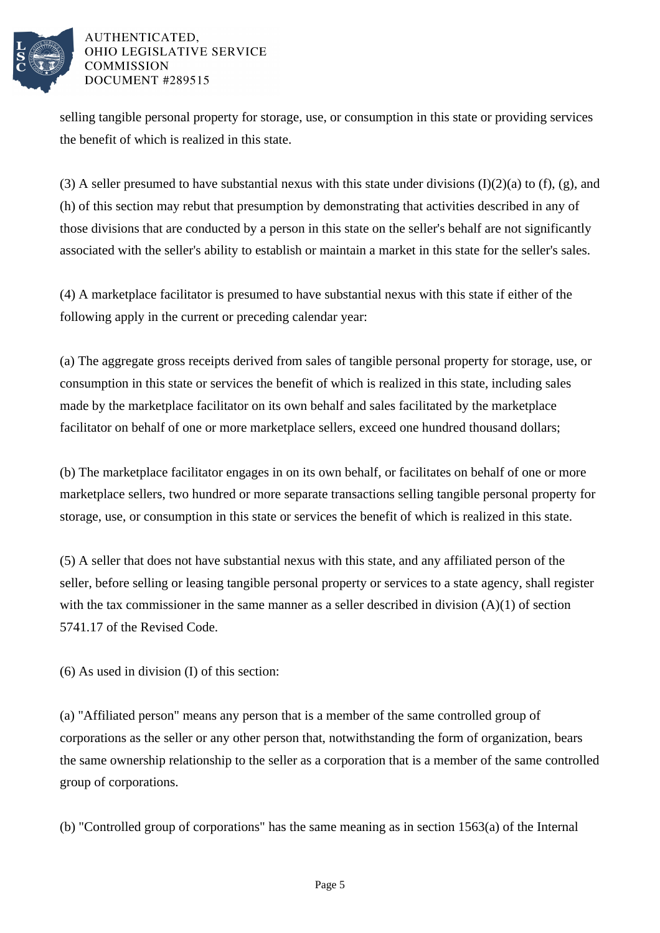

selling tangible personal property for storage, use, or consumption in this state or providing services the benefit of which is realized in this state.

(3) A seller presumed to have substantial nexus with this state under divisions  $(I)(2)(a)$  to  $(f)$ ,  $(g)$ , and (h) of this section may rebut that presumption by demonstrating that activities described in any of those divisions that are conducted by a person in this state on the seller's behalf are not significantly associated with the seller's ability to establish or maintain a market in this state for the seller's sales.

(4) A marketplace facilitator is presumed to have substantial nexus with this state if either of the following apply in the current or preceding calendar year:

(a) The aggregate gross receipts derived from sales of tangible personal property for storage, use, or consumption in this state or services the benefit of which is realized in this state, including sales made by the marketplace facilitator on its own behalf and sales facilitated by the marketplace facilitator on behalf of one or more marketplace sellers, exceed one hundred thousand dollars;

(b) The marketplace facilitator engages in on its own behalf, or facilitates on behalf of one or more marketplace sellers, two hundred or more separate transactions selling tangible personal property for storage, use, or consumption in this state or services the benefit of which is realized in this state.

(5) A seller that does not have substantial nexus with this state, and any affiliated person of the seller, before selling or leasing tangible personal property or services to a state agency, shall register with the tax commissioner in the same manner as a seller described in division (A)(1) of section 5741.17 of the Revised Code.

(6) As used in division (I) of this section:

(a) "Affiliated person" means any person that is a member of the same controlled group of corporations as the seller or any other person that, notwithstanding the form of organization, bears the same ownership relationship to the seller as a corporation that is a member of the same controlled group of corporations.

(b) "Controlled group of corporations" has the same meaning as in section 1563(a) of the Internal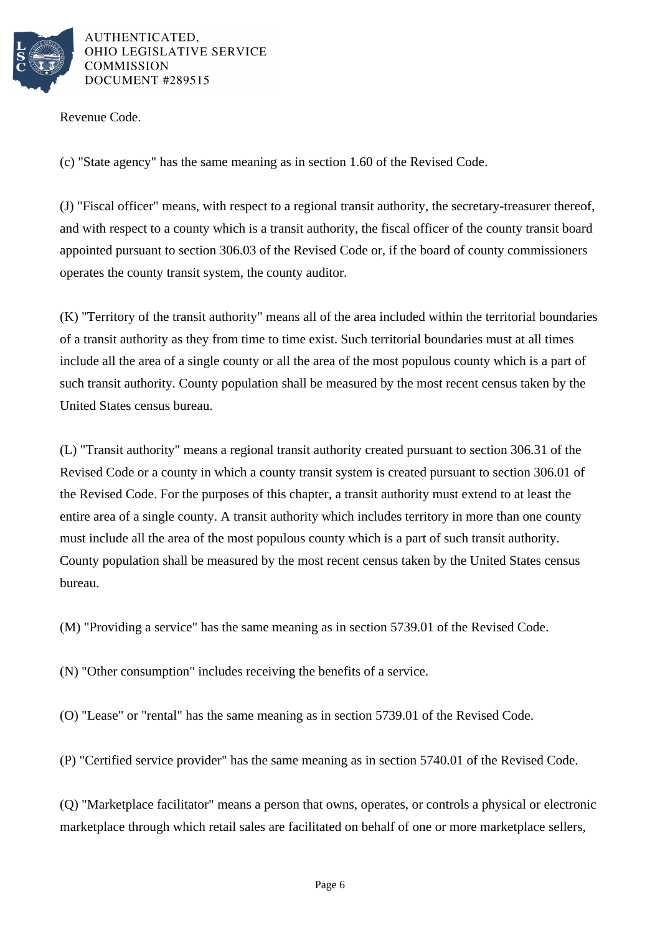

Revenue Code.

(c) "State agency" has the same meaning as in section 1.60 of the Revised Code.

(J) "Fiscal officer" means, with respect to a regional transit authority, the secretary-treasurer thereof, and with respect to a county which is a transit authority, the fiscal officer of the county transit board appointed pursuant to section 306.03 of the Revised Code or, if the board of county commissioners operates the county transit system, the county auditor.

(K) "Territory of the transit authority" means all of the area included within the territorial boundaries of a transit authority as they from time to time exist. Such territorial boundaries must at all times include all the area of a single county or all the area of the most populous county which is a part of such transit authority. County population shall be measured by the most recent census taken by the United States census bureau.

(L) "Transit authority" means a regional transit authority created pursuant to section 306.31 of the Revised Code or a county in which a county transit system is created pursuant to section 306.01 of the Revised Code. For the purposes of this chapter, a transit authority must extend to at least the entire area of a single county. A transit authority which includes territory in more than one county must include all the area of the most populous county which is a part of such transit authority. County population shall be measured by the most recent census taken by the United States census bureau.

(M) "Providing a service" has the same meaning as in section 5739.01 of the Revised Code.

(N) "Other consumption" includes receiving the benefits of a service.

(O) "Lease" or "rental" has the same meaning as in section 5739.01 of the Revised Code.

(P) "Certified service provider" has the same meaning as in section 5740.01 of the Revised Code.

(Q) "Marketplace facilitator" means a person that owns, operates, or controls a physical or electronic marketplace through which retail sales are facilitated on behalf of one or more marketplace sellers,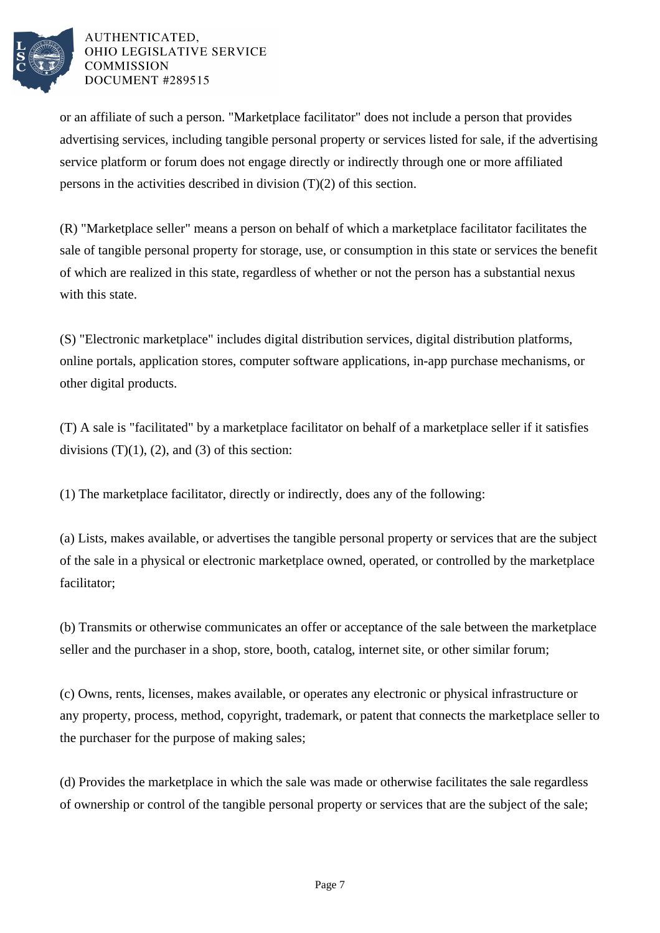

or an affiliate of such a person. "Marketplace facilitator" does not include a person that provides advertising services, including tangible personal property or services listed for sale, if the advertising service platform or forum does not engage directly or indirectly through one or more affiliated persons in the activities described in division (T)(2) of this section.

(R) "Marketplace seller" means a person on behalf of which a marketplace facilitator facilitates the sale of tangible personal property for storage, use, or consumption in this state or services the benefit of which are realized in this state, regardless of whether or not the person has a substantial nexus with this state.

(S) "Electronic marketplace" includes digital distribution services, digital distribution platforms, online portals, application stores, computer software applications, in-app purchase mechanisms, or other digital products.

(T) A sale is "facilitated" by a marketplace facilitator on behalf of a marketplace seller if it satisfies divisions  $(T)(1)$ ,  $(2)$ , and  $(3)$  of this section:

(1) The marketplace facilitator, directly or indirectly, does any of the following:

(a) Lists, makes available, or advertises the tangible personal property or services that are the subject of the sale in a physical or electronic marketplace owned, operated, or controlled by the marketplace facilitator;

(b) Transmits or otherwise communicates an offer or acceptance of the sale between the marketplace seller and the purchaser in a shop, store, booth, catalog, internet site, or other similar forum;

(c) Owns, rents, licenses, makes available, or operates any electronic or physical infrastructure or any property, process, method, copyright, trademark, or patent that connects the marketplace seller to the purchaser for the purpose of making sales;

(d) Provides the marketplace in which the sale was made or otherwise facilitates the sale regardless of ownership or control of the tangible personal property or services that are the subject of the sale;